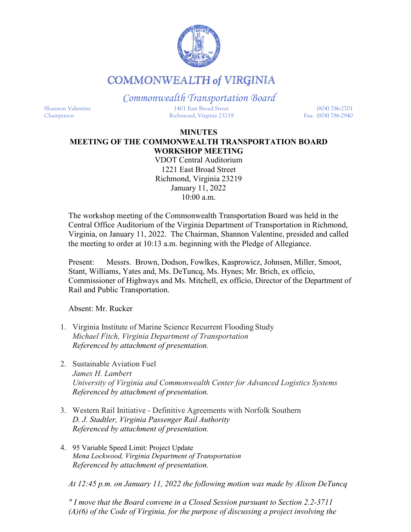

## **COMMONWEALTH of VIRGINIA**

*Commonwealth Transportation Board*

Shannon Valentine 1401 East Broad Street (804) 786-2701 Chairperson Richmond, Virginia 23219 Fax: (804) 786-2940

## **MINUTES MEETING OF THE COMMONWEALTH TRANSPORTATION BOARD WORKSHOP MEETING**

VDOT Central Auditorium 1221 East Broad Street Richmond, Virginia 23219 January 11, 2022 10:00 a.m.

The workshop meeting of the Commonwealth Transportation Board was held in the Central Office Auditorium of the Virginia Department of Transportation in Richmond, Virginia, on January 11, 2022. The Chairman, Shannon Valentine, presided and called the meeting to order at 10:13 a.m. beginning with the Pledge of Allegiance.

Present: Messrs. Brown, Dodson, Fowlkes, Kasprowicz, Johnsen, Miller, Smoot, Stant, Williams, Yates and, Ms. DeTuncq, Ms. Hynes; Mr. Brich, ex officio, Commissioner of Highways and Ms. Mitchell, ex officio, Director of the Department of Rail and Public Transportation.

Absent: Mr. Rucker

- 1. Virginia Institute of Marine Science Recurrent Flooding Study *Michael Fitch, Virginia Department of Transportation Referenced by attachment of presentation.*
- 2. Sustainable Aviation Fuel *James H. Lambert University of Virginia and Commonwealth Center for Advanced Logistics Systems Referenced by attachment of presentation.*
- 3. Western Rail Initiative Definitive Agreements with Norfolk Southern *D. J. Stadtler, Virginia Passenger Rail Authority Referenced by attachment of presentation.*
- 4. 95 Variable Speed Limit: Project Update *Mena Lockwood, Virginia Department of Transportation Referenced by attachment of presentation.*

*At 12:45 p.m. on January 11, 2022 the following motion was made by Alison DeTuncq*

*" I move that the Board convene in a Closed Session pursuant to Section 2.2-3711 (A)(6) of the Code of Virginia, for the purpose of discussing a project involving the*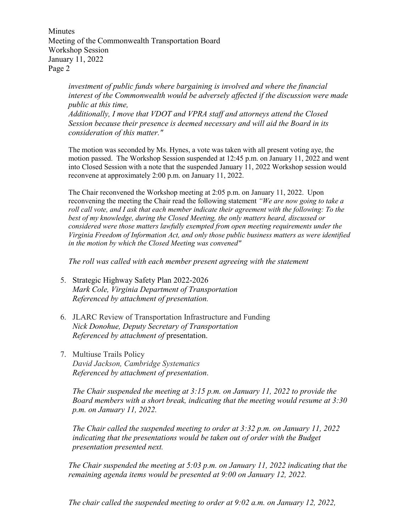Minutes Meeting of the Commonwealth Transportation Board Workshop Session January 11, 2022 Page 2

> *investment of public funds where bargaining is involved and where the financial interest of the Commonwealth would be adversely affected if the discussion were made public at this time, Additionally, I move that VDOT and VPRA staff and attorneys attend the Closed Session because their presence is deemed necessary and will aid the Board in its consideration of this matter."*

> The motion was seconded by Ms. Hynes, a vote was taken with all present voting aye, the motion passed. The Workshop Session suspended at 12:45 p.m. on January 11, 2022 and went into Closed Session with a note that the suspended January 11, 2022 Workshop session would reconvene at approximately 2:00 p.m. on January 11, 2022.

> The Chair reconvened the Workshop meeting at 2:05 p.m. on January 11, 2022. Upon reconvening the meeting the Chair read the following statement *"We are now going to take a roll call vote, and I ask that each member indicate their agreement with the following: To the best of my knowledge, during the Closed Meeting, the only matters heard, discussed or considered were those matters lawfully exempted from open meeting requirements under the Virginia Freedom of Information Act, and only those public business matters as were identified in the motion by which the Closed Meeting was convened"*

*The roll was called with each member present agreeing with the statement*

- 5. Strategic Highway Safety Plan 2022-2026 *Mark Cole, Virginia Department of Transportation Referenced by attachment of presentation.*
- 6. JLARC Review of Transportation Infrastructure and Funding *Nick Donohue, Deputy Secretary of Transportation Referenced by attachment of* presentation.
- 7. Multiuse Trails Policy *David Jackson, Cambridge Systematics Referenced by attachment of presentation*.

*The Chair suspended the meeting at 3:15 p.m. on January 11, 2022 to provide the Board members with a short break, indicating that the meeting would resume at 3:30 p.m. on January 11, 2022.*

*The Chair called the suspended meeting to order at 3:32 p.m. on January 11, 2022*  indicating that the presentations would be taken out of order with the Budget *presentation presented next.*

*The Chair suspended the meeting at 5:03 p.m. on January 11, 2022 indicating that the remaining agenda items would be presented at 9:00 on January 12, 2022.*

*The chair called the suspended meeting to order at 9:02 a.m. on January 12, 2022,*